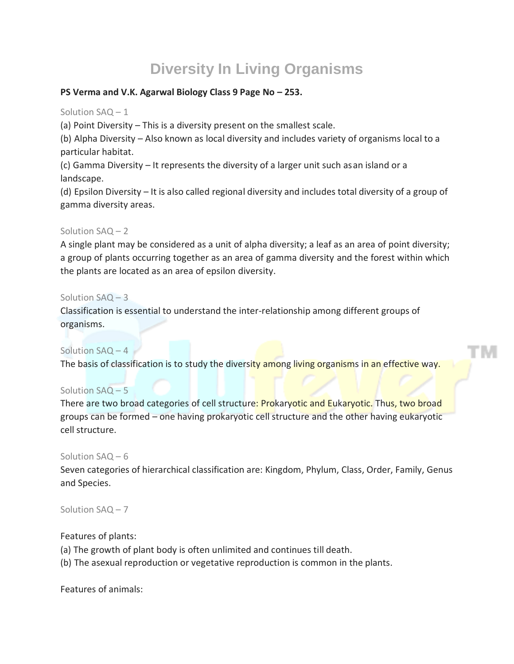# **Diversity In Living Organisms**

# **PS Verma and V.K. Agarwal Biology Class 9 Page No – 253.**

Solution SAQ – 1

(a) Point Diversity – This is a diversity present on the smallest scale.

(b) Alpha Diversity – Also known as local diversity and includes variety of organisms local to a particular habitat.

(c) Gamma Diversity – It represents the diversity of a larger unit such asan island or a landscape.

(d) Epsilon Diversity – It is also called regional diversity and includes total diversity of a group of gamma diversity areas.

# Solution SAQ – 2

A single plant may be considered as a unit of alpha diversity; a leaf as an area of point diversity; a group of plants occurring together as an area of gamma diversity and the forest within which the plants are located as an area of epsilon diversity.

# Solution SAQ – 3

Classification is essential to understand the inter-relationship among different groups of organisms.

# Solution SAQ - 4

The basis of classification is to study the diversity among living organisms in an effective way.

# Solution SAQ – 5

There are two broad categories of cell structure: Prokaryotic and Eukaryotic. Thus, two broad groups can be formed – one having prokaryotic cell structure and the other having eukaryotic cell structure.

# Solution SAQ – 6

Seven categories of hierarchical classification are: Kingdom, Phylum, Class, Order, Family, Genus and Species.

Solution SAQ – 7

# Features of plants:

(a) The growth of plant body is often unlimited and continues till death.

(b) The asexual reproduction or vegetative reproduction is common in the plants.

Features of animals: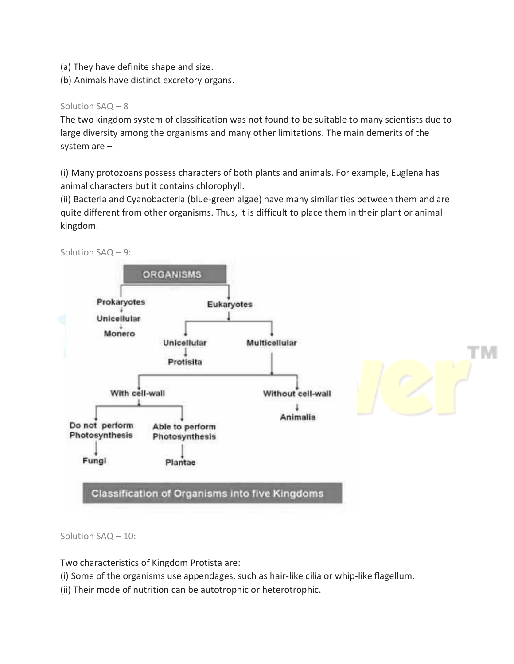- (a) They have definite shape and size.
- (b) Animals have distinct excretory organs.

# Solution SAQ – 8

The two kingdom system of classification was not found to be suitable to many scientists due to large diversity among the organisms and many other limitations. The main demerits of the system are –

(i) Many protozoans possess characters of both plants and animals. For example, Euglena has animal characters but it contains chlorophyll.

(ii) Bacteria and Cyanobacteria (blue-green algae) have many similarities between them and are quite different from other organisms. Thus, it is difficult to place them in their plant or animal kingdom.





Solution SAQ – 10:

Two characteristics of Kingdom Protista are:

(i) Some of the organisms use appendages, such as hair-like cilia or whip-like flagellum.

(ii) Their mode of nutrition can be autotrophic or heterotrophic.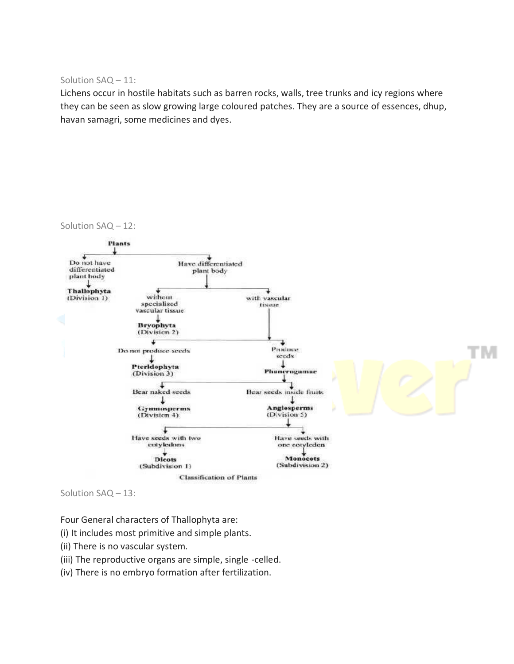Solution SAQ – 11:

Lichens occur in hostile habitats such as barren rocks, walls, tree trunks and icy regions where they can be seen as slow growing large coloured patches. They are a source of essences, dhup, havan samagri, some medicines and dyes.



Solution SAQ – 13:

Four General characters of Thallophyta are:

- (i) It includes most primitive and simple plants.
- (ii) There is no vascular system.
- (iii) The reproductive organs are simple, single -celled.
- (iv) There is no embryo formation after fertilization.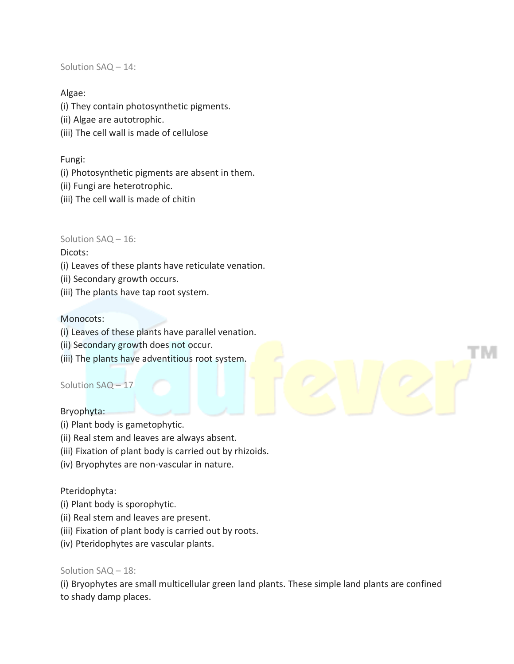Solution SAQ – 14:

# Algae:

(i) They contain photosynthetic pigments.

- (ii) Algae are autotrophic.
- (iii) The cell wall is made of cellulose

# Fungi:

- (i) Photosynthetic pigments are absent in them.
- (ii) Fungi are heterotrophic.
- (iii) The cell wall is made of chitin

# Solution SAQ – 16:

# Dicots:

- (i) Leaves of these plants have reticulate venation.
- (ii) Secondary growth occurs.
- (iii) The plants have tap root system.

# Monocots:

- (i) Leaves of these plants have parallel venation.
- (ii) Secondary growth does not occur.
- (iii) The plants have adventitious root system.

# Solution SAQ – 17

#### Bryophyta:

- (i) Plant body is gametophytic.
- (ii) Real stem and leaves are always absent.
- (iii) Fixation of plant body is carried out by rhizoids.
- (iv) Bryophytes are non-vascular in nature.

# Pteridophyta:

- (i) Plant body is sporophytic.
- (ii) Real stem and leaves are present.
- (iii) Fixation of plant body is carried out by roots.
- (iv) Pteridophytes are vascular plants.

#### Solution SAQ – 18:

(i) Bryophytes are small multicellular green land plants. These simple land plants are confined to shady damp places.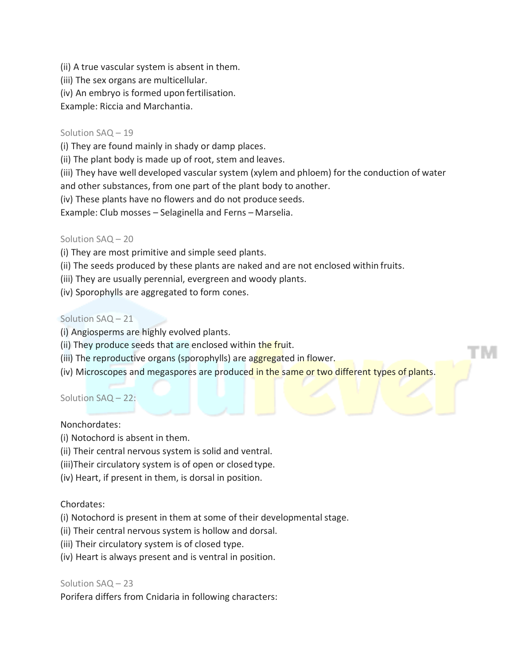- (ii) A true vascular system is absent in them.
- (iii) The sex organs are multicellular.
- (iv) An embryo is formed upon fertilisation.

Example: Riccia and Marchantia.

#### Solution SAQ – 19

(i) They are found mainly in shady or damp places.

(ii) The plant body is made up of root, stem and leaves.

(iii) They have well developed vascular system (xylem and phloem) for the conduction of water

and other substances, from one part of the plant body to another.

(iv) These plants have no flowers and do not produce seeds.

Example: Club mosses – Selaginella and Ferns – Marselia.

#### Solution SAQ – 20

(i) They are most primitive and simple seed plants.

- (ii) The seeds produced by these plants are naked and are not enclosed within fruits.
- (iii) They are usually perennial, evergreen and woody plants.
- (iv) Sporophylls are aggregated to form cones.

#### Solution SAQ – 21

- (i) Angiosperms are highly evolved plants.
- (ii) They produce seeds that are enclosed within the fruit.
- (iii) The reproductive organs (sporophylls) are aggregated in flower.
- (iv) Microscopes and megaspores are produced in the same or two different types of plants.

#### Solution SAQ – 22:

#### Nonchordates:

- (i) Notochord is absent in them.
- (ii) Their central nervous system is solid and ventral.
- (iii)Their circulatory system is of open or closedtype.
- (iv) Heart, if present in them, is dorsal in position.

#### Chordates:

(i) Notochord is present in them at some of their developmental stage.

- (ii) Their central nervous system is hollow and dorsal.
- (iii) Their circulatory system is of closed type.
- (iv) Heart is always present and is ventral in position.

#### Solution SAQ – 23

Porifera differs from Cnidaria in following characters: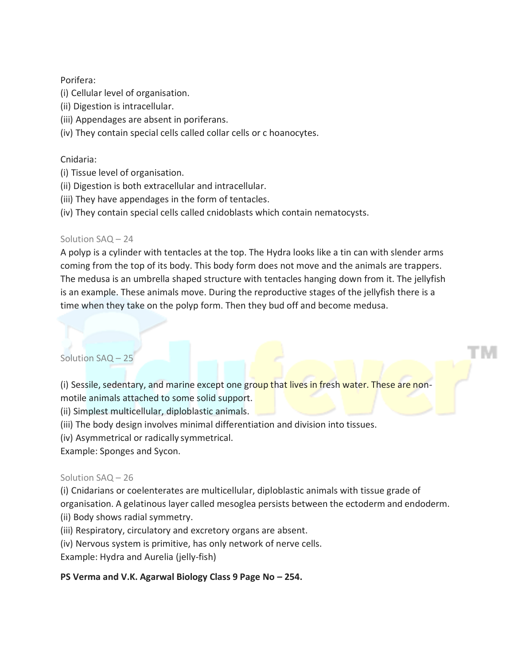# Porifera:

- (i) Cellular level of organisation.
- (ii) Digestion is intracellular.
- (iii) Appendages are absent in poriferans.
- (iv) They contain special cells called collar cells or c hoanocytes.

# Cnidaria:

- (i) Tissue level of organisation.
- (ii) Digestion is both extracellular and intracellular.
- (iii) They have appendages in the form of tentacles.
- (iv) They contain special cells called cnidoblasts which contain nematocysts.

# Solution SAQ – 24

A polyp is a cylinder with tentacles at the top. The Hydra looks like a tin can with slender arms coming from the top of its body. This body form does not move and the animals are trappers. The medusa is an umbrella shaped structure with tentacles hanging down from it. The jellyfish is an example. These animals move. During the reproductive stages of the jellyfish there is a time when they take on the polyp form. Then they bud off and become medusa.

# Solution SAQ – 25

(i) Sessile, sedentary, and marine except one group that lives in fresh water. These are nonmotile animals attached to some solid support.

(ii) Simplest multicellular, diploblastic animals.

(iii) The body design involves minimal differentiation and division into tissues.

(iv) Asymmetrical or radically symmetrical.

Example: Sponges and Sycon.

#### Solution SAQ – 26

(i) Cnidarians or coelenterates are multicellular, diploblastic animals with tissue grade of

organisation. A gelatinous layer called mesoglea persists between the ectoderm and endoderm.

- (ii) Body shows radial symmetry.
- (iii) Respiratory, circulatory and excretory organs are absent.
- (iv) Nervous system is primitive, has only network of nerve cells.

Example: Hydra and Aurelia (jelly-fish)

# **PS Verma and V.K. Agarwal Biology Class 9 Page No – 254.**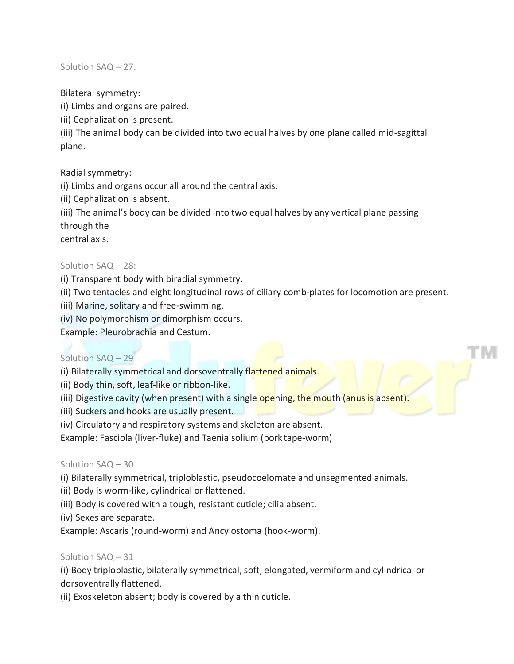Solution SAQ – 27:

Bilateral symmetry:

(i) Limbs and organs are paired.

(ii) Cephalization is present.

(iii) The animal body can be divided into two equal halves by one plane called mid-sagittal plane.

Radial symmetry:

(i) Limbs and organs occur all around the central axis.

(ii) Cephalization is absent.

(iii) The animal's body can be divided into two equal halves by any vertical plane passing through the

central axis.

# Solution SAQ – 28:

(i) Transparent body with biradial symmetry.

(ii) Two tentacles and eight longitudinal rows of ciliary comb-plates for locomotion are present.

(iii) Marine, solitary and free-swimming.

(iv) No polymorphism or dimorphism occurs.

Example: Pleurobrachia and Cestum.

# Solution SAQ – 29

(i) Bilaterally symmetrical and dorsoventrally flattened animals.

(ii) Body thin, soft, leaf-like or ribbon-like.

(iii) Digestive cavity (when present) with a single opening, the mouth (anus is absent).

(iii) Suckers and hooks are usually present.

(iv) Circulatory and respiratory systems and skeleton are absent.

Example: Fasciola (liver-fluke) and Taenia solium (pork tape-worm)

# Solution SAQ – 30

(i) Bilaterally symmetrical, triploblastic, pseudocoelomate and unsegmented animals.

(ii) Body is worm-like, cylindrical or flattened.

(iii) Body is covered with a tough, resistant cuticle; cilia absent.

(iv) Sexes are separate.

Example: Ascaris (round-worm) and Ancylostoma (hook-worm).

# Solution SAQ – 31

(i) Body triploblastic, bilaterally symmetrical, soft, elongated, vermiform and cylindrical or dorsoventrally flattened.

(ii) Exoskeleton absent; body is covered by a thin cuticle.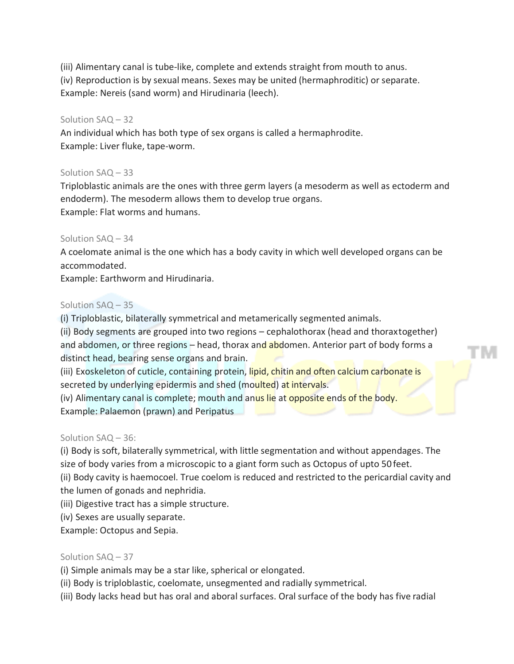(iii) Alimentary canal is tube-like, complete and extends straight from mouth to anus. (iv) Reproduction is by sexual means. Sexes may be united (hermaphroditic) or separate. Example: Nereis (sand worm) and Hirudinaria (leech).

#### Solution SAQ – 32

An individual which has both type of sex organs is called a hermaphrodite. Example: Liver fluke, tape-worm.

#### Solution SAQ – 33

Triploblastic animals are the ones with three germ layers (a mesoderm as well as ectoderm and endoderm). The mesoderm allows them to develop true organs. Example: Flat worms and humans.

#### Solution SAQ – 34

A coelomate animal is the one which has a body cavity in which well developed organs can be accommodated.

Example: Earthworm and Hirudinaria.

#### Solution SAQ – 35

(i) Triploblastic, bilaterally symmetrical and metamerically segmented animals.

(ii) Body segments are grouped into two regions – cephalothorax (head and thoraxtogether) and abdomen, or three regions  $-$  head, thorax and abdomen. Anterior part of body forms a distinct head, bearing sense organs and brain.

(iii) Exoskeleton of cuticle, containing protein, lipid, chitin and often calcium carbonate is secreted by underlying epidermis and shed (moulted) at intervals.

(iv) Alimentary canal is complete; mouth and anus lie at opposite ends of the body. Example: Palaemon (prawn) and Peripatus

#### Solution SAQ – 36:

(i) Body is soft, bilaterally symmetrical, with little segmentation and without appendages. The size of body varies from a microscopic to a giant form such as Octopus of upto 50 feet.

(ii) Body cavity is haemocoel. True coelom is reduced and restricted to the pericardial cavity and the lumen of gonads and nephridia.

(iii) Digestive tract has a simple structure.

(iv) Sexes are usually separate.

Example: Octopus and Sepia.

#### Solution SAQ – 37

(i) Simple animals may be a star like, spherical or elongated.

(ii) Body is triploblastic, coelomate, unsegmented and radially symmetrical.

(iii) Body lacks head but has oral and aboral surfaces. Oral surface of the body has five radial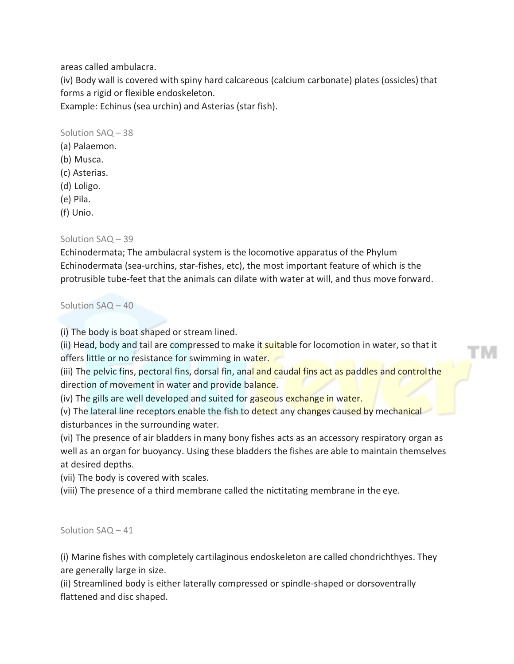areas called ambulacra.

(iv) Body wall is covered with spiny hard calcareous (calcium carbonate) plates (ossicles) that forms a rigid or flexible endoskeleton.

Example: Echinus (sea urchin) and Asterias (star fish).

Solution SAQ – 38

- (a) Palaemon.
- (b) Musca.
- (c) Asterias.
- (d) Loligo.
- (e) Pila.
- (f) Unio.

# Solution SAQ – 39

Echinodermata; The ambulacral system is the locomotive apparatus of the Phylum Echinodermata (sea-urchins, star-fishes, etc), the most important feature of which is the protrusible tube-feet that the animals can dilate with water at will, and thus move forward.

Solution SAQ – 40

(i) The body is boat shaped or stream lined.

(ii) Head, body and tail are compressed to make it suitable for locomotion in water, so that it offers little or no resistance for swimming in water.

(iii) The pelvic fins, pectoral fins, dorsal fin, anal and caudal fins act as paddles and controlthe direction of movement in water and provide balance.

(iv) The gills are well developed and suited for gaseous exchange in water.

(v) The lateral line receptors enable the fish to detect any changes caused by mechanical disturbances in the surrounding water.

(vi) The presence of air bladders in many bony fishes acts as an accessory respiratory organ as well as an organ for buoyancy. Using these bladders the fishes are able to maintain themselves at desired depths.

(vii) The body is covered with scales.

(viii) The presence of a third membrane called the nictitating membrane in the eye.

Solution SAQ – 41

(i) Marine fishes with completely cartilaginous endoskeleton are called chondrichthyes. They are generally large in size.

(ii) Streamlined body is either laterally compressed or spindle-shaped or dorsoventrally flattened and disc shaped.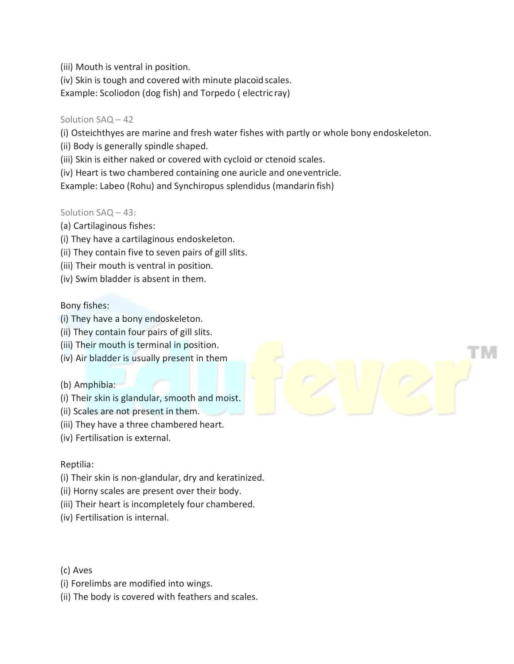(iii) Mouth is ventral in position.

(iv) Skin is tough and covered with minute placoid scales.

Example: Scoliodon (dog fish) and Torpedo ( electric ray)

### Solution SAQ – 42

(i) Osteichthyes are marine and fresh water fishes with partly or whole bony endoskeleton.

(ii) Body is generally spindle shaped.

(iii) Skin is either naked or covered with cycloid or ctenoid scales.

(iv) Heart is two chambered containing one auricle and oneventricle.

Example: Labeo (Rohu) and Synchiropus splendidus (mandarin fish)

# Solution SAQ – 43:

- (a) Cartilaginous fishes:
- (i) They have a cartilaginous endoskeleton.
- (ii) They contain five to seven pairs of gill slits.
- (iii) Their mouth is ventral in position.
- (iv) Swim bladder is absent in them.

# Bony fishes:

- (i) They have a bony endoskeleton.
- (ii) They contain four pairs of gill slits.
- (iii) Their mouth is terminal in position.
- (iv) Air bladder is usually present in them

#### (b) Amphibia:

- (i) Their skin is glandular, smooth and moist.
- (ii) Scales are not present in them.
- (iii) They have a three chambered heart.
- (iv) Fertilisation is external.

#### Reptilia:

- (i) Their skin is non-glandular, dry and keratinized.
- (ii) Horny scales are present over their body.
- (iii) Their heart is incompletely four chambered.
- (iv) Fertilisation is internal.

(c) Aves

- (i) Forelimbs are modified into wings.
- (ii) The body is covered with feathers and scales.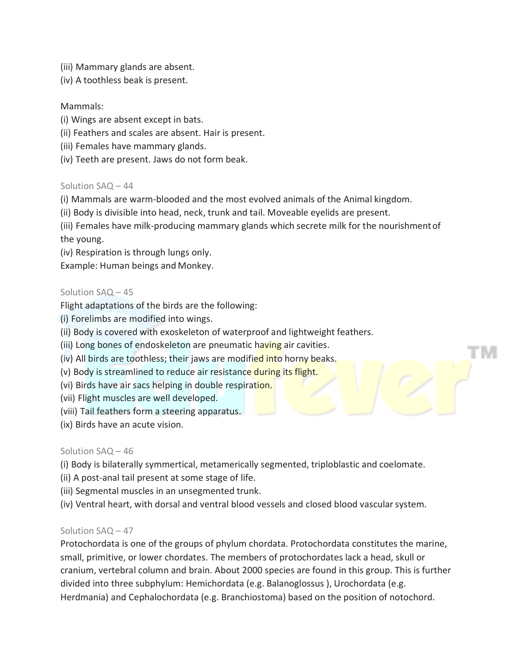- (iii) Mammary glands are absent.
- (iv) A toothless beak is present.

### Mammals:

- (i) Wings are absent except in bats.
- (ii) Feathers and scales are absent. Hair is present.
- (iii) Females have mammary glands.
- (iv) Teeth are present. Jaws do not form beak.

#### Solution SAQ – 44

- (i) Mammals are warm-blooded and the most evolved animals of the Animal kingdom.
- (ii) Body is divisible into head, neck, trunk and tail. Moveable eyelids are present.

(iii) Females have milk-producing mammary glands which secrete milk for the nourishmentof the young.

(iv) Respiration is through lungs only.

Example: Human beings and Monkey.

#### Solution SAQ – 45

Flight adaptations of the birds are the following:

- (i) Forelimbs are modified into wings.
- (ii) Body is covered with exoskeleton of waterproof and lightweight feathers.
- (iii) Long bones of endoskeleton are pneumatic having air cavities.
- (iv) All birds are toothless; their jaws are modified into horny beaks.
- (v) Body is streamlined to reduce air resistance during its flight.
- (vi) Birds have air sacs helping in double respiration.
- (vii) Flight muscles are well developed.
- (viii) Tail feathers form a steering apparatus.
- (ix) Birds have an acute vision.

#### Solution SAQ – 46

- (i) Body is bilaterally symmertical, metamerically segmented, triploblastic and coelomate.
- (ii) A post-anal tail present at some stage of life.
- (iii) Segmental muscles in an unsegmented trunk.
- (iv) Ventral heart, with dorsal and ventral blood vessels and closed blood vascular system.

#### Solution SAQ – 47

Protochordata is one of the groups of phylum chordata. Protochordata constitutes the marine, small, primitive, or lower chordates. The members of protochordates lack a head, skull or cranium, vertebral column and brain. About 2000 species are found in this group. This is further divided into three subphylum: Hemichordata (e.g. Balanoglossus ), Urochordata (e.g. Herdmania) and Cephalochordata (e.g. Branchiostoma) based on the position of notochord.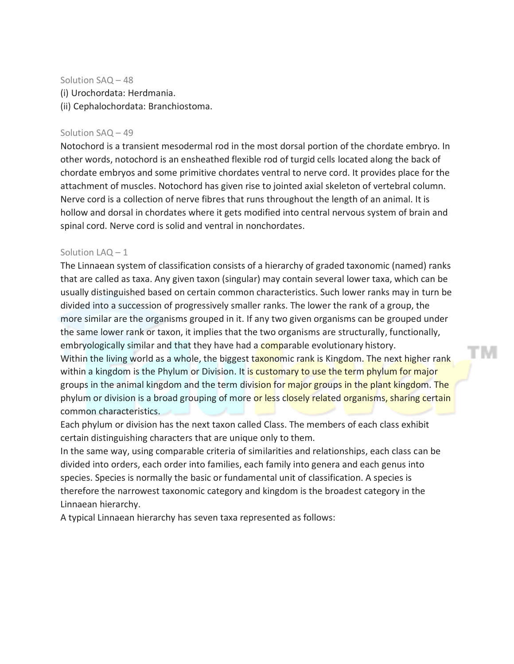Solution SAQ – 48 (i) Urochordata: Herdmania. (ii) Cephalochordata: Branchiostoma.

#### Solution SAQ – 49

Notochord is a transient mesodermal rod in the most dorsal portion of the chordate embryo. In other words, notochord is an ensheathed flexible rod of turgid cells located along the back of chordate embryos and some primitive chordates ventral to nerve cord. It provides place for the attachment of muscles. Notochord has given rise to jointed axial skeleton of vertebral column. Nerve cord is a collection of nerve fibres that runs throughout the length of an animal. It is hollow and dorsal in chordates where it gets modified into central nervous system of brain and spinal cord. Nerve cord is solid and ventral in nonchordates.

#### Solution  $LAQ - 1$

The Linnaean system of classification consists of a hierarchy of graded taxonomic (named) ranks that are called as taxa. Any given taxon (singular) may contain several lower taxa, which can be usually distinguished based on certain common characteristics. Such lower ranks may in turn be divided into a succession of progressively smaller ranks. The lower the rank of a group, the more similar are the organisms grouped in it. If any two given organisms can be grouped under the same lower rank or taxon, it implies that the two organisms are structurally, functionally, embryologically similar and that they have had a comparable evolutionary history. Within the living world as a whole, the biggest taxonomic rank is Kingdom. The next higher rank within a kingdom is the Phylum or Division. It is customary to use the term phylum for major groups in the animal kingdom and the term division for major groups in the plant kingdom. The phylum or division is a broad grouping of more or less closely related organisms, sharing certain common characteristics.

TM

Each phylum or division has the next taxon called Class. The members of each class exhibit certain distinguishing characters that are unique only to them.

In the same way, using comparable criteria of similarities and relationships, each class can be divided into orders, each order into families, each family into genera and each genus into species. Species is normally the basic or fundamental unit of classification. A species is therefore the narrowest taxonomic category and kingdom is the broadest category in the Linnaean hierarchy.

A typical Linnaean hierarchy has seven taxa represented as follows: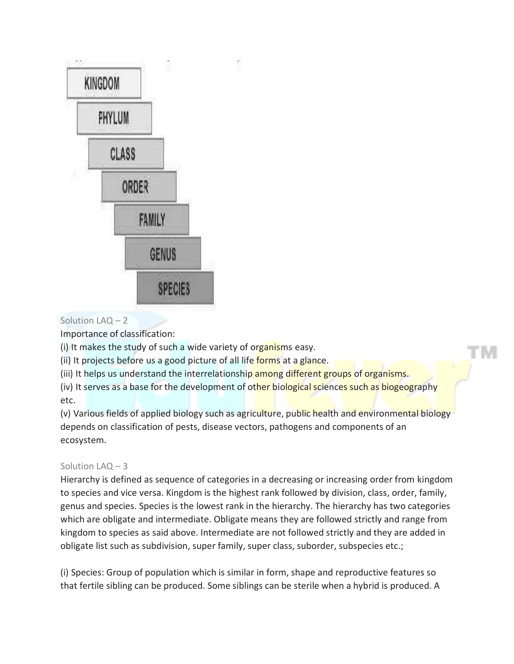

# Solution LAQ – 2

Importance of classification:

(i) It makes the study of such a wide variety of organisms easy.

(ii) It projects before us a good picture of all life forms at a glance.

(iii) It helps us understand the interrelationship among different groups of organisms.

(iv) It serves as a base for the development of other biological sciences such as biogeography etc.

(v) Various fields of applied biology such as agriculture, public health and environmental biology depends on classification of pests, disease vectors, pathogens and components of an ecosystem.

# Solution LAQ – 3

Hierarchy is defined as sequence of categories in a decreasing or increasing order from kingdom to species and vice versa. Kingdom is the highest rank followed by division, class, order, family, genus and species. Species is the lowest rank in the hierarchy. The hierarchy has two categories which are obligate and intermediate. Obligate means they are followed strictly and range from kingdom to species as said above. Intermediate are not followed strictly and they are added in obligate list such as subdivision, super family, super class, suborder, subspecies etc.;

(i) Species: Group of population which is similar in form, shape and reproductive features so that fertile sibling can be produced. Some siblings can be sterile when a hybrid is produced. A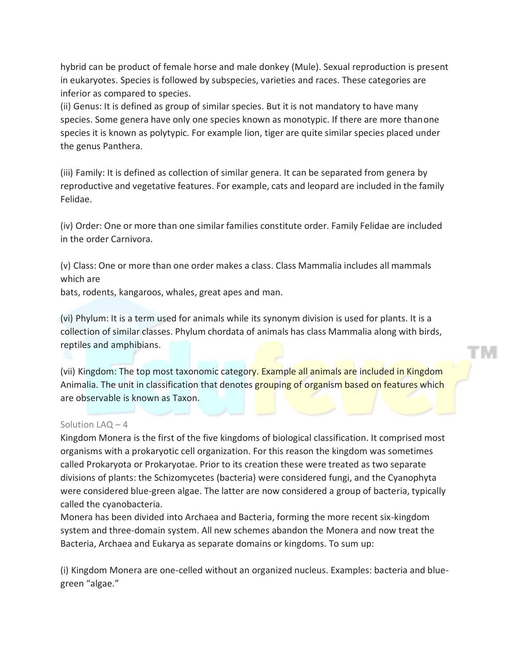hybrid can be product of female horse and male donkey (Mule). Sexual reproduction is present in eukaryotes. Species is followed by subspecies, varieties and races. These categories are inferior as compared to species.

(ii) Genus: It is defined as group of similar species. But it is not mandatory to have many species. Some genera have only one species known as monotypic. If there are more thanone species it is known as polytypic. For example lion, tiger are quite similar species placed under the genus Panthera.

(iii) Family: It is defined as collection of similar genera. It can be separated from genera by reproductive and vegetative features. For example, cats and leopard are included in the family Felidae.

(iv) Order: One or more than one similar families constitute order. Family Felidae are included in the order Carnivora.

(v) Class: One or more than one order makes a class. Class Mammalia includes all mammals which are

bats, rodents, kangaroos, whales, great apes and man.

(vi) Phylum: It is a term used for animals while its synonym division is used for plants. It is a collection of similar classes. Phylum chordata of animals has class Mammalia along with birds, reptiles and amphibians.

(vii) Kingdom: The top most taxonomic category. Example all animals are included in Kingdom Animalia. The unit in classification that denotes grouping of organism based on features which are observable is known as Taxon.

#### Solution LAQ – 4

Kingdom Monera is the first of the five kingdoms of biological classification. It comprised most organisms with a prokaryotic cell organization. For this reason the kingdom was sometimes called Prokaryota or Prokaryotae. Prior to its creation these were treated as two separate divisions of plants: the Schizomycetes (bacteria) were considered fungi, and the Cyanophyta were considered blue-green algae. The latter are now considered a group of bacteria, typically called the cyanobacteria.

Monera has been divided into Archaea and Bacteria, forming the more recent six-kingdom system and three-domain system. All new schemes abandon the Monera and now treat the Bacteria, Archaea and Eukarya as separate domains or kingdoms. To sum up:

(i) Kingdom Monera are one-celled without an organized nucleus. Examples: bacteria and bluegreen "algae."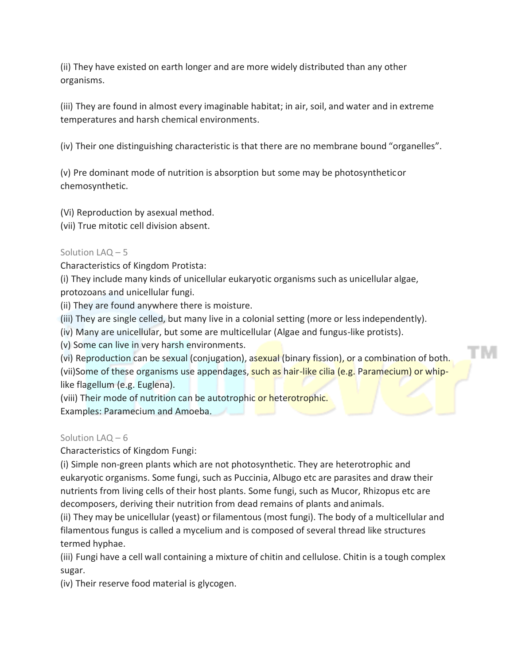(ii) They have existed on earth longer and are more widely distributed than any other organisms.

(iii) They are found in almost every imaginable habitat; in air, soil, and water and in extreme temperatures and harsh chemical environments.

(iv) Their one distinguishing characteristic is that there are no membrane bound "organelles".

(v) Pre dominant mode of nutrition is absorption but some may be photosyntheticor chemosynthetic.

(Vi) Reproduction by asexual method.

(vii) True mitotic cell division absent.

#### Solution LAQ – 5

Characteristics of Kingdom Protista:

(i) They include many kinds of unicellular eukaryotic organisms such as unicellular algae, protozoans and unicellular fungi.

(ii) They are found anywhere there is moisture.

(iii) They are single celled, but many live in a colonial setting (more or less independently).

(iv) Many are unicellular, but some are multicellular (Algae and fungus-like protists).

(v) Some can live in very harsh environments.

(vi) Reproduction can be sexual (conjugation), asexual (binary fission), or a combination of both. (vii)Some of these organisms use appendages, such as hair-like cilia (e.g. Paramecium) or whiplike flagellum (e.g. Euglena).

TM

(viii) Their mode of nutrition can be autotrophic or heterotrophic. Examples: Paramecium and Amoeba.

Solution LAQ – 6

Characteristics of Kingdom Fungi:

(i) Simple non-green plants which are not photosynthetic. They are heterotrophic and eukaryotic organisms. Some fungi, such as Puccinia, Albugo etc are parasites and draw their nutrients from living cells of their host plants. Some fungi, such as Mucor, Rhizopus etc are decomposers, deriving their nutrition from dead remains of plants and animals.

(ii) They may be unicellular (yeast) or filamentous (most fungi). The body of a multicellular and filamentous fungus is called a mycelium and is composed of several thread like structures termed hyphae.

(iii) Fungi have a cell wall containing a mixture of chitin and cellulose. Chitin is a tough complex sugar.

(iv) Their reserve food material is glycogen.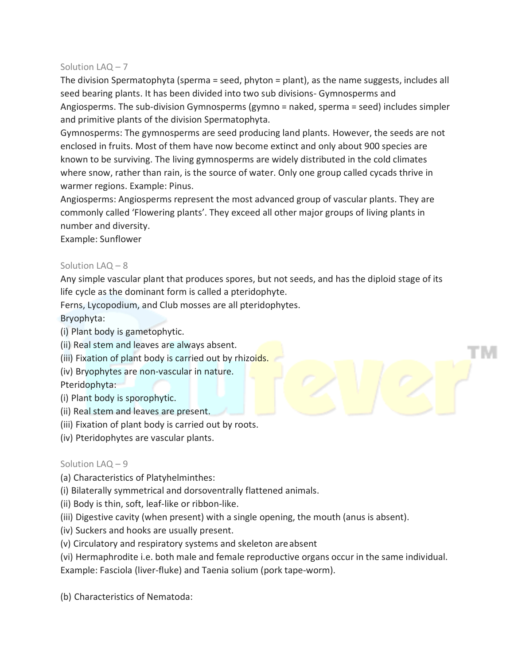# Solution LAQ – 7

The division Spermatophyta (sperma = seed, phyton = plant), as the name suggests, includes all seed bearing plants. It has been divided into two sub divisions- Gymnosperms and Angiosperms. The sub-division Gymnosperms (gymno = naked, sperma = seed) includes simpler and primitive plants of the division Spermatophyta.

Gymnosperms: The gymnosperms are seed producing land plants. However, the seeds are not enclosed in fruits. Most of them have now become extinct and only about 900 species are known to be surviving. The living gymnosperms are widely distributed in the cold climates where snow, rather than rain, is the source of water. Only one group called cycads thrive in warmer regions. Example: Pinus.

Angiosperms: Angiosperms represent the most advanced group of vascular plants. They are commonly called 'Flowering plants'. They exceed all other major groups of living plants in number and diversity.

Example: Sunflower

# Solution LAQ – 8

Any simple vascular plant that produces spores, but not seeds, and has the diploid stage of its life cycle as the dominant form is called a pteridophyte.

Ferns, Lycopodium, and Club mosses are all pteridophytes.

Bryophyta:

- (i) Plant body is gametophytic.
- (ii) Real stem and leaves are always absent.
- (iii) Fixation of plant body is carried out by rhizoids.
- (iv) Bryophytes are non-vascular in nature.

Pteridophyta:

- (i) Plant body is sporophytic.
- (ii) Real stem and leaves are present.
- (iii) Fixation of plant body is carried out by roots.
- (iv) Pteridophytes are vascular plants.

#### Solution LAQ – 9

- (a) Characteristics of Platyhelminthes:
- (i) Bilaterally symmetrical and dorsoventrally flattened animals.
- (ii) Body is thin, soft, leaf-like or ribbon-like.
- (iii) Digestive cavity (when present) with a single opening, the mouth (anus is absent).
- (iv) Suckers and hooks are usually present.
- (v) Circulatory and respiratory systems and skeleton areabsent
- (vi) Hermaphrodite i.e. both male and female reproductive organs occur in the same individual.

Example: Fasciola (liver-fluke) and Taenia solium (pork tape-worm).

(b) Characteristics of Nematoda: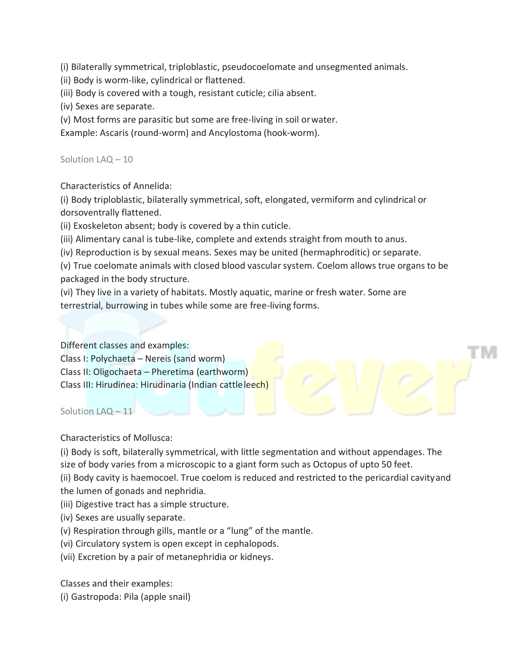(i) Bilaterally symmetrical, triploblastic, pseudocoelomate and unsegmented animals.

(ii) Body is worm-like, cylindrical or flattened.

(iii) Body is covered with a tough, resistant cuticle; cilia absent.

(iv) Sexes are separate.

(v) Most forms are parasitic but some are free-living in soil orwater.

Example: Ascaris (round-worm) and Ancylostoma (hook-worm).

Solution LAQ – 10

Characteristics of Annelida:

(i) Body triploblastic, bilaterally symmetrical, soft, elongated, vermiform and cylindrical or dorsoventrally flattened.

(ii) Exoskeleton absent; body is covered by a thin cuticle.

(iii) Alimentary canal is tube-like, complete and extends straight from mouth to anus.

(iv) Reproduction is by sexual means. Sexes may be united (hermaphroditic) or separate.

(v) True coelomate animals with closed blood vascularsystem. Coelom allows true organs to be packaged in the body structure.

(vi) They live in a variety of habitats. Mostly aquatic, marine or fresh water. Some are terrestrial, burrowing in tubes while some are free-living forms.

Different classes and examples: Class I: Polychaeta – Nereis (sand worm) Class II: Oligochaeta – Pheretima (earthworm) Class III: Hirudinea: Hirudinaria (Indian cattleleech)

Solution LAQ – 11

Characteristics of Mollusca:

(i) Body is soft, bilaterally symmetrical, with little segmentation and without appendages. The size of body varies from a microscopic to a giant form such as Octopus of upto 50 feet.

(ii) Body cavity is haemocoel. True coelom is reduced and restricted to the pericardial cavityand the lumen of gonads and nephridia.

- (iii) Digestive tract has a simple structure.
- (iv) Sexes are usually separate.
- (v) Respiration through gills, mantle or a "lung" of the mantle.
- (vi) Circulatory system is open except in cephalopods.
- (vii) Excretion by a pair of metanephridia or kidneys.

Classes and their examples:

(i) Gastropoda: Pila (apple snail)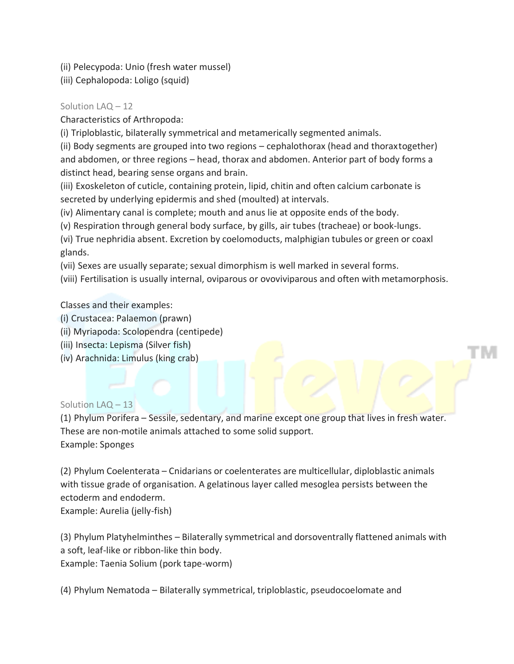(ii) Pelecypoda: Unio (fresh water mussel)

(iii) Cephalopoda: Loligo (squid)

# Solution LAQ – 12

Characteristics of Arthropoda:

(i) Triploblastic, bilaterally symmetrical and metamerically segmented animals.

(ii) Body segments are grouped into two regions – cephalothorax (head and thoraxtogether) and abdomen, or three regions – head, thorax and abdomen. Anterior part of body forms a distinct head, bearing sense organs and brain.

(iii) Exoskeleton of cuticle, containing protein, lipid, chitin and often calcium carbonate is secreted by underlying epidermis and shed (moulted) at intervals.

(iv) Alimentary canal is complete; mouth and anus lie at opposite ends of the body.

(v) Respiration through general body surface, by gills, air tubes (tracheae) or book-lungs.

(vi) True nephridia absent. Excretion by coelomoducts, malphigian tubules or green or coaxl glands.

(vii) Sexes are usually separate; sexual dimorphism is well marked in several forms.

(viii) Fertilisation is usually internal, oviparous or ovoviviparous and often with metamorphosis.

Classes and their examples:

- (i) Crustacea: Palaemon (prawn)
- (ii) Myriapoda: Scolopendra (centipede)
- (iii) Insecta: Lepisma (Silver fish)
- (iv) Arachnida: Limulus (king crab)

#### Solution LAQ – 13

(1) Phylum Porifera – Sessile, sedentary, and marine except one group that lives in fresh water. These are non-motile animals attached to some solid support. Example: Sponges

(2) Phylum Coelenterata – Cnidarians or coelenterates are multicellular, diploblastic animals with tissue grade of organisation. A gelatinous layer called mesoglea persists between the ectoderm and endoderm.

Example: Aurelia (jelly-fish)

(3) Phylum Platyhelminthes – Bilaterally symmetrical and dorsoventrally flattened animals with a soft, leaf-like or ribbon-like thin body. Example: Taenia Solium (pork tape-worm)

(4) Phylum Nematoda – Bilaterally symmetrical, triploblastic, pseudocoelomate and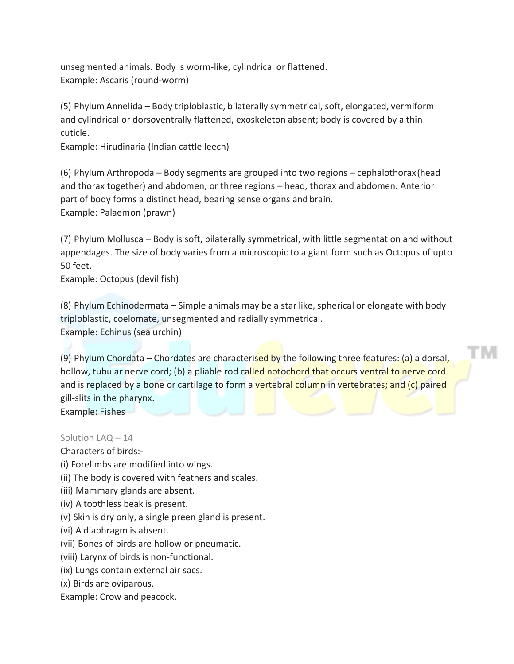unsegmented animals. Body is worm-like, cylindrical or flattened. Example: Ascaris (round-worm)

(5) Phylum Annelida – Body triploblastic, bilaterally symmetrical, soft, elongated, vermiform and cylindrical or dorsoventrally flattened, exoskeleton absent; body is covered by a thin cuticle.

Example: Hirudinaria (Indian cattle leech)

(6) Phylum Arthropoda – Body segments are grouped into two regions – cephalothorax(head and thorax together) and abdomen, or three regions – head, thorax and abdomen. Anterior part of body forms a distinct head, bearing sense organs and brain. Example: Palaemon (prawn)

(7) Phylum Mollusca – Body is soft, bilaterally symmetrical, with little segmentation and without appendages. The size of body varies from a microscopic to a giant form such as Octopus of upto 50 feet.

Example: Octopus (devil fish)

(8) Phylum Echinodermata – Simple animals may be a star like, spherical or elongate with body triploblastic, coelomate, unsegmented and radially symmetrical. Example: Echinus (sea urchin)

(9) Phylum Chordata – Chordates are characterised by the following three features: (a) a dorsal, hollow, tubular nerve cord; (b) a pliable rod called notochord that occurs ventral to nerve cord and is replaced by a bone or cartilage to form a vertebral column in vertebrates; and (c) paired gill-slits in the pharynx.

ГM

Example: Fishes

Solution LAQ – 14

Characters of birds:-

- (i) Forelimbs are modified into wings.
- (ii) The body is covered with feathers and scales.
- (iii) Mammary glands are absent.
- (iv) A toothless beak is present.
- (v) Skin is dry only, a single preen gland is present.
- (vi) A diaphragm is absent.
- (vii) Bones of birds are hollow or pneumatic.
- (viii) Larynx of birds is non-functional.
- (ix) Lungs contain external air sacs.
- (x) Birds are oviparous.
- Example: Crow and peacock.